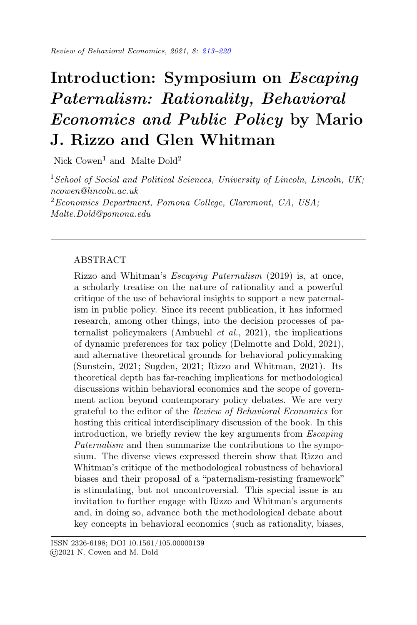# <span id="page-0-0"></span>Introduction: Symposium on Escaping Paternalism: Rationality, Behavioral Economics and Public Policy by Mario J. Rizzo and Glen Whitman

Nick  $\text{Cowen}^1$  and Malte Dold<sup>2</sup>

<sup>1</sup> School of Social and Political Sciences, University of Lincoln, Lincoln, UK; ncowen@lincoln.ac.uk <sup>2</sup>Economics Department, Pomona College, Claremont, CA, USA; Malte.Dold@pomona.edu

# ABSTRACT

Rizzo and Whitman's Escaping Paternalism (2019) is, at once, a scholarly treatise on the nature of rationality and a powerful critique of the use of behavioral insights to support a new paternalism in public policy. Since its recent publication, it has informed research, among other things, into the decision processes of paternalist policymakers (Ambuehl et al., 2021), the implications of dynamic preferences for tax policy (Delmotte and Dold, 2021), and alternative theoretical grounds for behavioral policymaking (Sunstein, 2021; Sugden, 2021; Rizzo and Whitman, 2021). Its theoretical depth has far-reaching implications for methodological discussions within behavioral economics and the scope of government action beyond contemporary policy debates. We are very grateful to the editor of the Review of Behavioral Economics for hosting this critical interdisciplinary discussion of the book. In this introduction, we briefly review the key arguments from Escaping Paternalism and then summarize the contributions to the symposium. The diverse views expressed therein show that Rizzo and Whitman's critique of the methodological robustness of behavioral biases and their proposal of a "paternalism-resisting framework" is stimulating, but not uncontroversial. This special issue is an invitation to further engage with Rizzo and Whitman's arguments and, in doing so, advance both the methodological debate about key concepts in behavioral economics (such as rationality, biases,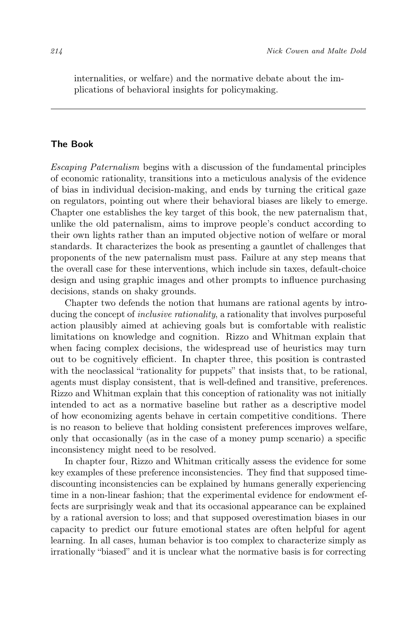internalities, or welfare) and the normative debate about the implications of behavioral insights for policymaking.

#### The Book

Escaping Paternalism begins with a discussion of the fundamental principles of economic rationality, transitions into a meticulous analysis of the evidence of bias in individual decision-making, and ends by turning the critical gaze on regulators, pointing out where their behavioral biases are likely to emerge. Chapter one establishes the key target of this book, the new paternalism that, unlike the old paternalism, aims to improve people's conduct according to their own lights rather than an imputed objective notion of welfare or moral standards. It characterizes the book as presenting a gauntlet of challenges that proponents of the new paternalism must pass. Failure at any step means that the overall case for these interventions, which include sin taxes, default-choice design and using graphic images and other prompts to influence purchasing decisions, stands on shaky grounds.

Chapter two defends the notion that humans are rational agents by introducing the concept of *inclusive rationality*, a rationality that involves purposeful action plausibly aimed at achieving goals but is comfortable with realistic limitations on knowledge and cognition. Rizzo and Whitman explain that when facing complex decisions, the widespread use of heuristics may turn out to be cognitively efficient. In chapter three, this position is contrasted with the neoclassical "rationality for puppets" that insists that, to be rational, agents must display consistent, that is well-defined and transitive, preferences. Rizzo and Whitman explain that this conception of rationality was not initially intended to act as a normative baseline but rather as a descriptive model of how economizing agents behave in certain competitive conditions. There is no reason to believe that holding consistent preferences improves welfare, only that occasionally (as in the case of a money pump scenario) a specific inconsistency might need to be resolved.

In chapter four, Rizzo and Whitman critically assess the evidence for some key examples of these preference inconsistencies. They find that supposed timediscounting inconsistencies can be explained by humans generally experiencing time in a non-linear fashion; that the experimental evidence for endowment effects are surprisingly weak and that its occasional appearance can be explained by a rational aversion to loss; and that supposed overestimation biases in our capacity to predict our future emotional states are often helpful for agent learning. In all cases, human behavior is too complex to characterize simply as irrationally "biased" and it is unclear what the normative basis is for correcting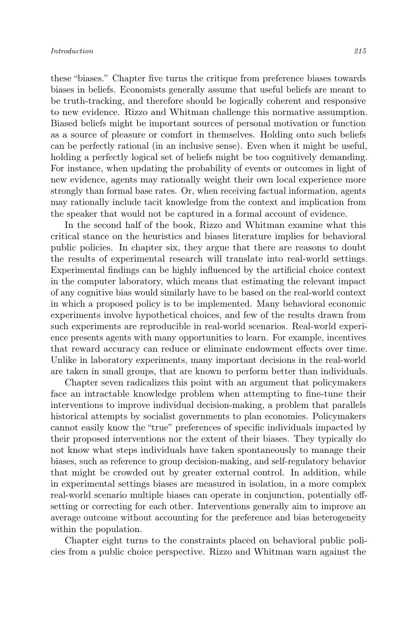these "biases." Chapter five turns the critique from preference biases towards biases in beliefs. Economists generally assume that useful beliefs are meant to be truth-tracking, and therefore should be logically coherent and responsive to new evidence. Rizzo and Whitman challenge this normative assumption. Biased beliefs might be important sources of personal motivation or function as a source of pleasure or comfort in themselves. Holding onto such beliefs can be perfectly rational (in an inclusive sense). Even when it might be useful, holding a perfectly logical set of beliefs might be too cognitively demanding. For instance, when updating the probability of events or outcomes in light of new evidence, agents may rationally weight their own local experience more strongly than formal base rates. Or, when receiving factual information, agents may rationally include tacit knowledge from the context and implication from the speaker that would not be captured in a formal account of evidence.

In the second half of the book, Rizzo and Whitman examine what this critical stance on the heuristics and biases literature implies for behavioral public policies. In chapter six, they argue that there are reasons to doubt the results of experimental research will translate into real-world settings. Experimental findings can be highly influenced by the artificial choice context in the computer laboratory, which means that estimating the relevant impact of any cognitive bias would similarly have to be based on the real-world context in which a proposed policy is to be implemented. Many behavioral economic experiments involve hypothetical choices, and few of the results drawn from such experiments are reproducible in real-world scenarios. Real-world experience presents agents with many opportunities to learn. For example, incentives that reward accuracy can reduce or eliminate endowment effects over time. Unlike in laboratory experiments, many important decisions in the real-world are taken in small groups, that are known to perform better than individuals.

Chapter seven radicalizes this point with an argument that policymakers face an intractable knowledge problem when attempting to fine-tune their interventions to improve individual decision-making, a problem that parallels historical attempts by socialist governments to plan economies. Policymakers cannot easily know the "true" preferences of specific individuals impacted by their proposed interventions nor the extent of their biases. They typically do not know what steps individuals have taken spontaneously to manage their biases, such as reference to group decision-making, and self-regulatory behavior that might be crowded out by greater external control. In addition, while in experimental settings biases are measured in isolation, in a more complex real-world scenario multiple biases can operate in conjunction, potentially offsetting or correcting for each other. Interventions generally aim to improve an average outcome without accounting for the preference and bias heterogeneity within the population.

Chapter eight turns to the constraints placed on behavioral public policies from a public choice perspective. Rizzo and Whitman warn against the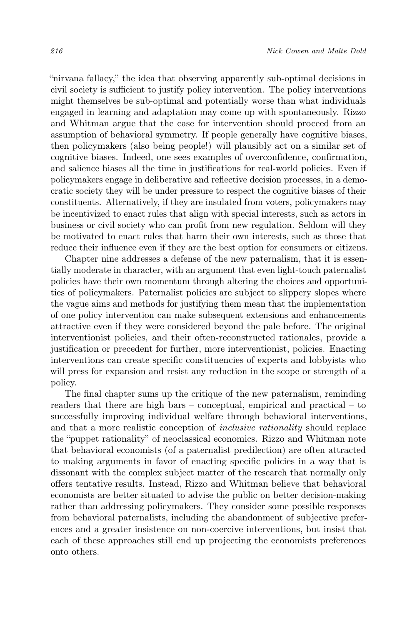"nirvana fallacy," the idea that observing apparently sub-optimal decisions in civil society is sufficient to justify policy intervention. The policy interventions might themselves be sub-optimal and potentially worse than what individuals engaged in learning and adaptation may come up with spontaneously. Rizzo and Whitman argue that the case for intervention should proceed from an assumption of behavioral symmetry. If people generally have cognitive biases, then policymakers (also being people!) will plausibly act on a similar set of cognitive biases. Indeed, one sees examples of overconfidence, confirmation, and salience biases all the time in justifications for real-world policies. Even if policymakers engage in deliberative and reflective decision processes, in a democratic society they will be under pressure to respect the cognitive biases of their constituents. Alternatively, if they are insulated from voters, policymakers may be incentivized to enact rules that align with special interests, such as actors in business or civil society who can profit from new regulation. Seldom will they be motivated to enact rules that harm their own interests, such as those that reduce their influence even if they are the best option for consumers or citizens.

Chapter nine addresses a defense of the new paternalism, that it is essentially moderate in character, with an argument that even light-touch paternalist policies have their own momentum through altering the choices and opportunities of policymakers. Paternalist policies are subject to slippery slopes where the vague aims and methods for justifying them mean that the implementation of one policy intervention can make subsequent extensions and enhancements attractive even if they were considered beyond the pale before. The original interventionist policies, and their often-reconstructed rationales, provide a justification or precedent for further, more interventionist, policies. Enacting interventions can create specific constituencies of experts and lobbyists who will press for expansion and resist any reduction in the scope or strength of a policy.

The final chapter sums up the critique of the new paternalism, reminding readers that there are high bars – conceptual, empirical and practical – to successfully improving individual welfare through behavioral interventions, and that a more realistic conception of inclusive rationality should replace the "puppet rationality" of neoclassical economics. Rizzo and Whitman note that behavioral economists (of a paternalist predilection) are often attracted to making arguments in favor of enacting specific policies in a way that is dissonant with the complex subject matter of the research that normally only offers tentative results. Instead, Rizzo and Whitman believe that behavioral economists are better situated to advise the public on better decision-making rather than addressing policymakers. They consider some possible responses from behavioral paternalists, including the abandonment of subjective preferences and a greater insistence on non-coercive interventions, but insist that each of these approaches still end up projecting the economists preferences onto others.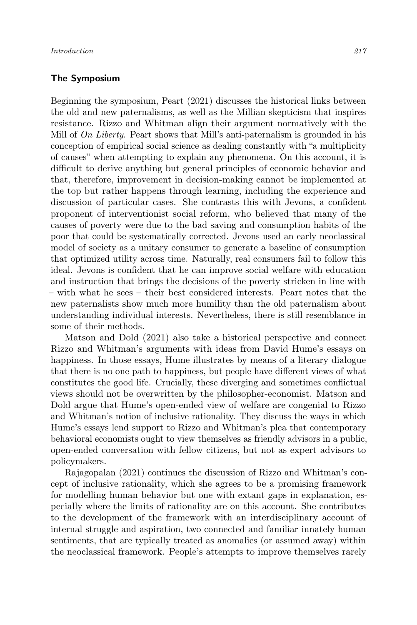## The Symposium

Beginning the symposium, Peart (2021) discusses the historical links between the old and new paternalisms, as well as the Millian skepticism that inspires resistance. Rizzo and Whitman align their argument normatively with the Mill of On Liberty. Peart shows that Mill's anti-paternalism is grounded in his conception of empirical social science as dealing constantly with "a multiplicity of causes" when attempting to explain any phenomena. On this account, it is difficult to derive anything but general principles of economic behavior and that, therefore, improvement in decision-making cannot be implemented at the top but rather happens through learning, including the experience and discussion of particular cases. She contrasts this with Jevons, a confident proponent of interventionist social reform, who believed that many of the causes of poverty were due to the bad saving and consumption habits of the poor that could be systematically corrected. Jevons used an early neoclassical model of society as a unitary consumer to generate a baseline of consumption that optimized utility across time. Naturally, real consumers fail to follow this ideal. Jevons is confident that he can improve social welfare with education and instruction that brings the decisions of the poverty stricken in line with – with what he sees – their best considered interests. Peart notes that the new paternalists show much more humility than the old paternalism about understanding individual interests. Nevertheless, there is still resemblance in some of their methods.

Matson and Dold (2021) also take a historical perspective and connect Rizzo and Whitman's arguments with ideas from David Hume's essays on happiness. In those essays, Hume illustrates by means of a literary dialogue that there is no one path to happiness, but people have different views of what constitutes the good life. Crucially, these diverging and sometimes conflictual views should not be overwritten by the philosopher-economist. Matson and Dold argue that Hume's open-ended view of welfare are congenial to Rizzo and Whitman's notion of inclusive rationality. They discuss the ways in which Hume's essays lend support to Rizzo and Whitman's plea that contemporary behavioral economists ought to view themselves as friendly advisors in a public, open-ended conversation with fellow citizens, but not as expert advisors to policymakers.

Rajagopalan (2021) continues the discussion of Rizzo and Whitman's concept of inclusive rationality, which she agrees to be a promising framework for modelling human behavior but one with extant gaps in explanation, especially where the limits of rationality are on this account. She contributes to the development of the framework with an interdisciplinary account of internal struggle and aspiration, two connected and familiar innately human sentiments, that are typically treated as anomalies (or assumed away) within the neoclassical framework. People's attempts to improve themselves rarely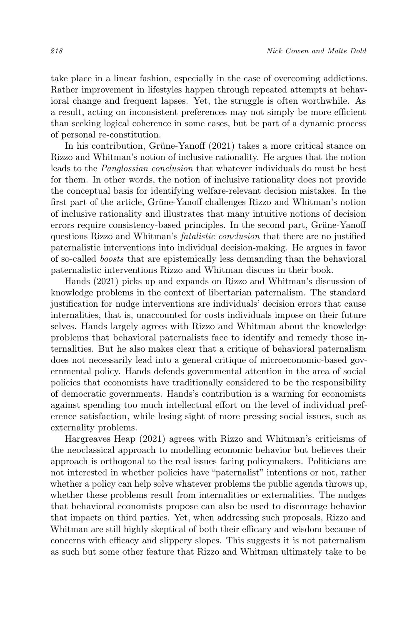take place in a linear fashion, especially in the case of overcoming addictions. Rather improvement in lifestyles happen through repeated attempts at behavioral change and frequent lapses. Yet, the struggle is often worthwhile. As a result, acting on inconsistent preferences may not simply be more efficient than seeking logical coherence in some cases, but be part of a dynamic process of personal re-constitution.

In his contribution, Grüne-Yanoff (2021) takes a more critical stance on Rizzo and Whitman's notion of inclusive rationality. He argues that the notion leads to the Panglossian conclusion that whatever individuals do must be best for them. In other words, the notion of inclusive rationality does not provide the conceptual basis for identifying welfare-relevant decision mistakes. In the first part of the article, Grüne-Yanoff challenges Rizzo and Whitman's notion of inclusive rationality and illustrates that many intuitive notions of decision errors require consistency-based principles. In the second part, Grüne-Yanoff questions Rizzo and Whitman's fatalistic conclusion that there are no justified paternalistic interventions into individual decision-making. He argues in favor of so-called boosts that are epistemically less demanding than the behavioral paternalistic interventions Rizzo and Whitman discuss in their book.

Hands (2021) picks up and expands on Rizzo and Whitman's discussion of knowledge problems in the context of libertarian paternalism. The standard justification for nudge interventions are individuals' decision errors that cause internalities, that is, unaccounted for costs individuals impose on their future selves. Hands largely agrees with Rizzo and Whitman about the knowledge problems that behavioral paternalists face to identify and remedy those internalities. But he also makes clear that a critique of behavioral paternalism does not necessarily lead into a general critique of microeconomic-based governmental policy. Hands defends governmental attention in the area of social policies that economists have traditionally considered to be the responsibility of democratic governments. Hands's contribution is a warning for economists against spending too much intellectual effort on the level of individual preference satisfaction, while losing sight of more pressing social issues, such as externality problems.

Hargreaves Heap (2021) agrees with Rizzo and Whitman's criticisms of the neoclassical approach to modelling economic behavior but believes their approach is orthogonal to the real issues facing policymakers. Politicians are not interested in whether policies have "paternalist" intentions or not, rather whether a policy can help solve whatever problems the public agenda throws up, whether these problems result from internalities or externalities. The nudges that behavioral economists propose can also be used to discourage behavior that impacts on third parties. Yet, when addressing such proposals, Rizzo and Whitman are still highly skeptical of both their efficacy and wisdom because of concerns with efficacy and slippery slopes. This suggests it is not paternalism as such but some other feature that Rizzo and Whitman ultimately take to be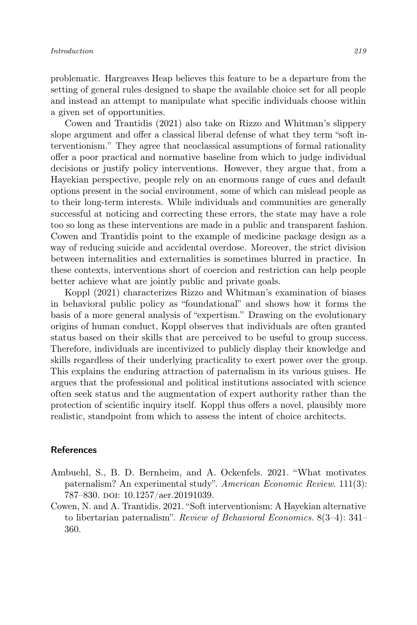problematic. Hargreaves Heap believes this feature to be a departure from the setting of general rules designed to shape the available choice set for all people and instead an attempt to manipulate what specific individuals choose within a given set of opportunities.

Cowen and Trantidis (2021) also take on Rizzo and Whitman's slippery slope argument and offer a classical liberal defense of what they term "soft interventionism." They agree that neoclassical assumptions of formal rationality offer a poor practical and normative baseline from which to judge individual decisions or justify policy interventions. However, they argue that, from a Hayekian perspective, people rely on an enormous range of cues and default options present in the social environment, some of which can mislead people as to their long-term interests. While individuals and communities are generally successful at noticing and correcting these errors, the state may have a role too so long as these interventions are made in a public and transparent fashion. Cowen and Trantidis point to the example of medicine package design as a way of reducing suicide and accidental overdose. Moreover, the strict division between internalities and externalities is sometimes blurred in practice. In these contexts, interventions short of coercion and restriction can help people better achieve what are jointly public and private goals.

Koppl (2021) characterizes Rizzo and Whitman's examination of biases in behavioral public policy as "foundational" and shows how it forms the basis of a more general analysis of "expertism." Drawing on the evolutionary origins of human conduct, Koppl observes that individuals are often granted status based on their skills that are perceived to be useful to group success. Therefore, individuals are incentivized to publicly display their knowledge and skills regardless of their underlying practicality to exert power over the group. This explains the enduring attraction of paternalism in its various guises. He argues that the professional and political institutions associated with science often seek status and the augmentation of expert authority rather than the protection of scientific inquiry itself. Koppl thus offers a novel, plausibly more realistic, standpoint from which to assess the intent of choice architects.

## References

- Ambuehl, S., B. D. Bernheim, and A. Ockenfels. 2021. "What motivates paternalism? An experimental study". American Economic Review. 111(3): 787–830. doi: 10.1257/aer.20191039.
- Cowen, N. and A. Trantidis. 2021. "Soft interventionism: A Hayekian alternative to libertarian paternalism". Review of Behavioral Economics. 8(3–4): 341– 360.